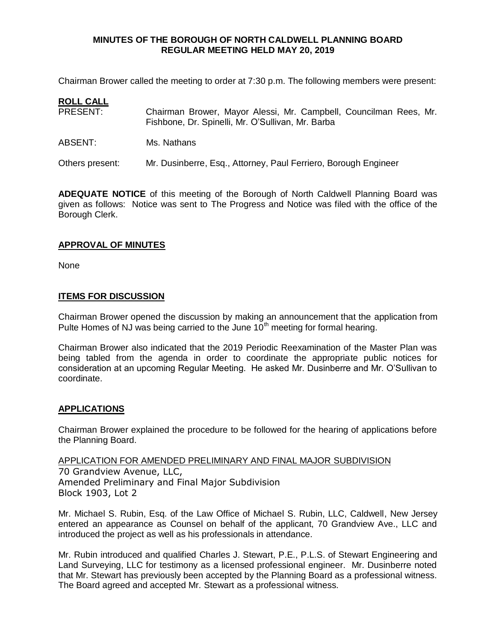Chairman Brower called the meeting to order at 7:30 p.m. The following members were present:

# **ROLL CALL**

- PRESENT: Chairman Brower, Mayor Alessi, Mr. Campbell, Councilman Rees, Mr. Fishbone, Dr. Spinelli, Mr. O'Sullivan, Mr. Barba
- ABSENT: Ms. Nathans

Others present: Mr. Dusinberre, Esq., Attorney, Paul Ferriero, Borough Engineer

**ADEQUATE NOTICE** of this meeting of the Borough of North Caldwell Planning Board was given as follows: Notice was sent to The Progress and Notice was filed with the office of the Borough Clerk.

## **APPROVAL OF MINUTES**

None

## **ITEMS FOR DISCUSSION**

Chairman Brower opened the discussion by making an announcement that the application from Pulte Homes of NJ was being carried to the June  $10<sup>th</sup>$  meeting for formal hearing.

Chairman Brower also indicated that the 2019 Periodic Reexamination of the Master Plan was being tabled from the agenda in order to coordinate the appropriate public notices for consideration at an upcoming Regular Meeting. He asked Mr. Dusinberre and Mr. O'Sullivan to coordinate.

# **APPLICATIONS**

Chairman Brower explained the procedure to be followed for the hearing of applications before the Planning Board.

APPLICATION FOR AMENDED PRELIMINARY AND FINAL MAJOR SUBDIVISION 70 Grandview Avenue, LLC, Amended Preliminary and Final Major Subdivision Block 1903, Lot 2

Mr. Michael S. Rubin, Esq. of the Law Office of Michael S. Rubin, LLC, Caldwell, New Jersey entered an appearance as Counsel on behalf of the applicant, 70 Grandview Ave., LLC and introduced the project as well as his professionals in attendance.

Mr. Rubin introduced and qualified Charles J. Stewart, P.E., P.L.S. of Stewart Engineering and Land Surveying, LLC for testimony as a licensed professional engineer. Mr. Dusinberre noted that Mr. Stewart has previously been accepted by the Planning Board as a professional witness. The Board agreed and accepted Mr. Stewart as a professional witness.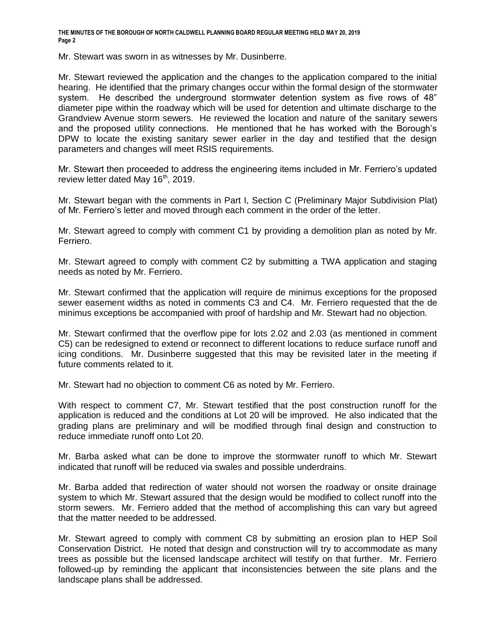Mr. Stewart was sworn in as witnesses by Mr. Dusinberre.

Mr. Stewart reviewed the application and the changes to the application compared to the initial hearing. He identified that the primary changes occur within the formal design of the stormwater system. He described the underground stormwater detention system as five rows of 48" diameter pipe within the roadway which will be used for detention and ultimate discharge to the Grandview Avenue storm sewers. He reviewed the location and nature of the sanitary sewers and the proposed utility connections. He mentioned that he has worked with the Borough's DPW to locate the existing sanitary sewer earlier in the day and testified that the design parameters and changes will meet RSIS requirements.

Mr. Stewart then proceeded to address the engineering items included in Mr. Ferriero's updated review letter dated May  $16<sup>th</sup>$ , 2019.

Mr. Stewart began with the comments in Part I, Section C (Preliminary Major Subdivision Plat) of Mr. Ferriero's letter and moved through each comment in the order of the letter.

Mr. Stewart agreed to comply with comment C1 by providing a demolition plan as noted by Mr. Ferriero.

Mr. Stewart agreed to comply with comment C2 by submitting a TWA application and staging needs as noted by Mr. Ferriero.

Mr. Stewart confirmed that the application will require de minimus exceptions for the proposed sewer easement widths as noted in comments C3 and C4. Mr. Ferriero requested that the de minimus exceptions be accompanied with proof of hardship and Mr. Stewart had no objection.

Mr. Stewart confirmed that the overflow pipe for lots 2.02 and 2.03 (as mentioned in comment C5) can be redesigned to extend or reconnect to different locations to reduce surface runoff and icing conditions. Mr. Dusinberre suggested that this may be revisited later in the meeting if future comments related to it.

Mr. Stewart had no objection to comment C6 as noted by Mr. Ferriero.

With respect to comment C7, Mr. Stewart testified that the post construction runoff for the application is reduced and the conditions at Lot 20 will be improved. He also indicated that the grading plans are preliminary and will be modified through final design and construction to reduce immediate runoff onto Lot 20.

Mr. Barba asked what can be done to improve the stormwater runoff to which Mr. Stewart indicated that runoff will be reduced via swales and possible underdrains.

Mr. Barba added that redirection of water should not worsen the roadway or onsite drainage system to which Mr. Stewart assured that the design would be modified to collect runoff into the storm sewers. Mr. Ferriero added that the method of accomplishing this can vary but agreed that the matter needed to be addressed.

Mr. Stewart agreed to comply with comment C8 by submitting an erosion plan to HEP Soil Conservation District. He noted that design and construction will try to accommodate as many trees as possible but the licensed landscape architect will testify on that further. Mr. Ferriero followed-up by reminding the applicant that inconsistencies between the site plans and the landscape plans shall be addressed.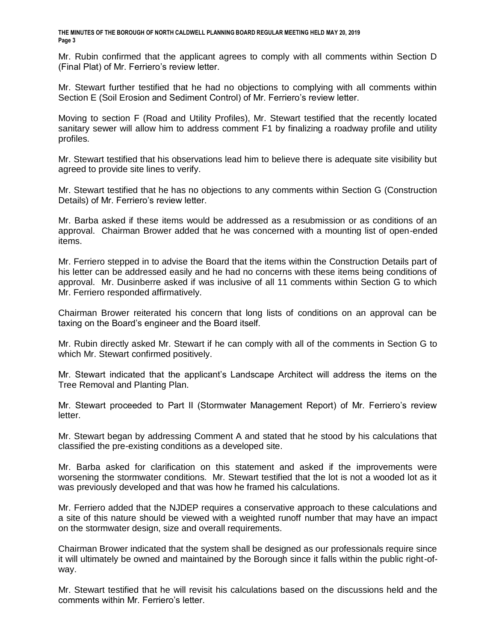Mr. Rubin confirmed that the applicant agrees to comply with all comments within Section D (Final Plat) of Mr. Ferriero's review letter.

Mr. Stewart further testified that he had no objections to complying with all comments within Section E (Soil Erosion and Sediment Control) of Mr. Ferriero's review letter.

Moving to section F (Road and Utility Profiles), Mr. Stewart testified that the recently located sanitary sewer will allow him to address comment F1 by finalizing a roadway profile and utility profiles.

Mr. Stewart testified that his observations lead him to believe there is adequate site visibility but agreed to provide site lines to verify.

Mr. Stewart testified that he has no objections to any comments within Section G (Construction Details) of Mr. Ferriero's review letter.

Mr. Barba asked if these items would be addressed as a resubmission or as conditions of an approval. Chairman Brower added that he was concerned with a mounting list of open-ended items.

Mr. Ferriero stepped in to advise the Board that the items within the Construction Details part of his letter can be addressed easily and he had no concerns with these items being conditions of approval. Mr. Dusinberre asked if was inclusive of all 11 comments within Section G to which Mr. Ferriero responded affirmatively.

Chairman Brower reiterated his concern that long lists of conditions on an approval can be taxing on the Board's engineer and the Board itself.

Mr. Rubin directly asked Mr. Stewart if he can comply with all of the comments in Section G to which Mr. Stewart confirmed positively.

Mr. Stewart indicated that the applicant's Landscape Architect will address the items on the Tree Removal and Planting Plan.

Mr. Stewart proceeded to Part II (Stormwater Management Report) of Mr. Ferriero's review letter.

Mr. Stewart began by addressing Comment A and stated that he stood by his calculations that classified the pre-existing conditions as a developed site.

Mr. Barba asked for clarification on this statement and asked if the improvements were worsening the stormwater conditions. Mr. Stewart testified that the lot is not a wooded lot as it was previously developed and that was how he framed his calculations.

Mr. Ferriero added that the NJDEP requires a conservative approach to these calculations and a site of this nature should be viewed with a weighted runoff number that may have an impact on the stormwater design, size and overall requirements.

Chairman Brower indicated that the system shall be designed as our professionals require since it will ultimately be owned and maintained by the Borough since it falls within the public right-ofway.

Mr. Stewart testified that he will revisit his calculations based on the discussions held and the comments within Mr. Ferriero's letter.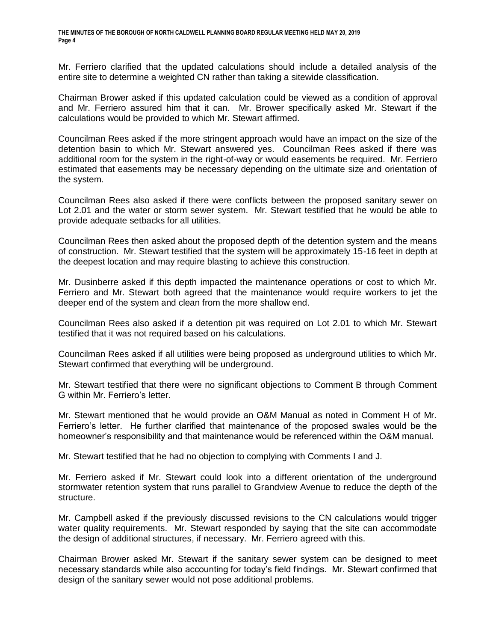Mr. Ferriero clarified that the updated calculations should include a detailed analysis of the entire site to determine a weighted CN rather than taking a sitewide classification.

Chairman Brower asked if this updated calculation could be viewed as a condition of approval and Mr. Ferriero assured him that it can. Mr. Brower specifically asked Mr. Stewart if the calculations would be provided to which Mr. Stewart affirmed.

Councilman Rees asked if the more stringent approach would have an impact on the size of the detention basin to which Mr. Stewart answered yes. Councilman Rees asked if there was additional room for the system in the right-of-way or would easements be required. Mr. Ferriero estimated that easements may be necessary depending on the ultimate size and orientation of the system.

Councilman Rees also asked if there were conflicts between the proposed sanitary sewer on Lot 2.01 and the water or storm sewer system. Mr. Stewart testified that he would be able to provide adequate setbacks for all utilities.

Councilman Rees then asked about the proposed depth of the detention system and the means of construction. Mr. Stewart testified that the system will be approximately 15-16 feet in depth at the deepest location and may require blasting to achieve this construction.

Mr. Dusinberre asked if this depth impacted the maintenance operations or cost to which Mr. Ferriero and Mr. Stewart both agreed that the maintenance would require workers to jet the deeper end of the system and clean from the more shallow end.

Councilman Rees also asked if a detention pit was required on Lot 2.01 to which Mr. Stewart testified that it was not required based on his calculations.

Councilman Rees asked if all utilities were being proposed as underground utilities to which Mr. Stewart confirmed that everything will be underground.

Mr. Stewart testified that there were no significant objections to Comment B through Comment G within Mr. Ferriero's letter.

Mr. Stewart mentioned that he would provide an O&M Manual as noted in Comment H of Mr. Ferriero's letter. He further clarified that maintenance of the proposed swales would be the homeowner's responsibility and that maintenance would be referenced within the O&M manual.

Mr. Stewart testified that he had no objection to complying with Comments I and J.

Mr. Ferriero asked if Mr. Stewart could look into a different orientation of the underground stormwater retention system that runs parallel to Grandview Avenue to reduce the depth of the structure.

Mr. Campbell asked if the previously discussed revisions to the CN calculations would trigger water quality requirements. Mr. Stewart responded by saying that the site can accommodate the design of additional structures, if necessary. Mr. Ferriero agreed with this.

Chairman Brower asked Mr. Stewart if the sanitary sewer system can be designed to meet necessary standards while also accounting for today's field findings. Mr. Stewart confirmed that design of the sanitary sewer would not pose additional problems.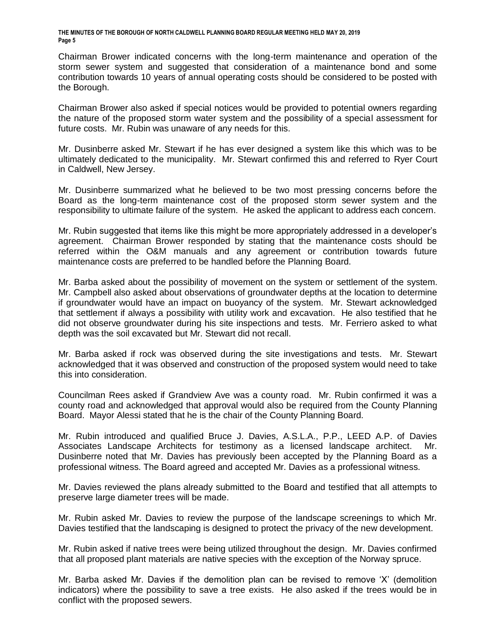Chairman Brower indicated concerns with the long-term maintenance and operation of the storm sewer system and suggested that consideration of a maintenance bond and some contribution towards 10 years of annual operating costs should be considered to be posted with the Borough.

Chairman Brower also asked if special notices would be provided to potential owners regarding the nature of the proposed storm water system and the possibility of a special assessment for future costs. Mr. Rubin was unaware of any needs for this.

Mr. Dusinberre asked Mr. Stewart if he has ever designed a system like this which was to be ultimately dedicated to the municipality. Mr. Stewart confirmed this and referred to Ryer Court in Caldwell, New Jersey.

Mr. Dusinberre summarized what he believed to be two most pressing concerns before the Board as the long-term maintenance cost of the proposed storm sewer system and the responsibility to ultimate failure of the system. He asked the applicant to address each concern.

Mr. Rubin suggested that items like this might be more appropriately addressed in a developer's agreement. Chairman Brower responded by stating that the maintenance costs should be referred within the O&M manuals and any agreement or contribution towards future maintenance costs are preferred to be handled before the Planning Board.

Mr. Barba asked about the possibility of movement on the system or settlement of the system. Mr. Campbell also asked about observations of groundwater depths at the location to determine if groundwater would have an impact on buoyancy of the system. Mr. Stewart acknowledged that settlement if always a possibility with utility work and excavation. He also testified that he did not observe groundwater during his site inspections and tests. Mr. Ferriero asked to what depth was the soil excavated but Mr. Stewart did not recall.

Mr. Barba asked if rock was observed during the site investigations and tests. Mr. Stewart acknowledged that it was observed and construction of the proposed system would need to take this into consideration.

Councilman Rees asked if Grandview Ave was a county road. Mr. Rubin confirmed it was a county road and acknowledged that approval would also be required from the County Planning Board. Mayor Alessi stated that he is the chair of the County Planning Board.

Mr. Rubin introduced and qualified Bruce J. Davies, A.S.L.A., P.P., LEED A.P. of Davies Associates Landscape Architects for testimony as a licensed landscape architect. Mr. Dusinberre noted that Mr. Davies has previously been accepted by the Planning Board as a professional witness. The Board agreed and accepted Mr. Davies as a professional witness.

Mr. Davies reviewed the plans already submitted to the Board and testified that all attempts to preserve large diameter trees will be made.

Mr. Rubin asked Mr. Davies to review the purpose of the landscape screenings to which Mr. Davies testified that the landscaping is designed to protect the privacy of the new development.

Mr. Rubin asked if native trees were being utilized throughout the design. Mr. Davies confirmed that all proposed plant materials are native species with the exception of the Norway spruce.

Mr. Barba asked Mr. Davies if the demolition plan can be revised to remove 'X' (demolition indicators) where the possibility to save a tree exists. He also asked if the trees would be in conflict with the proposed sewers.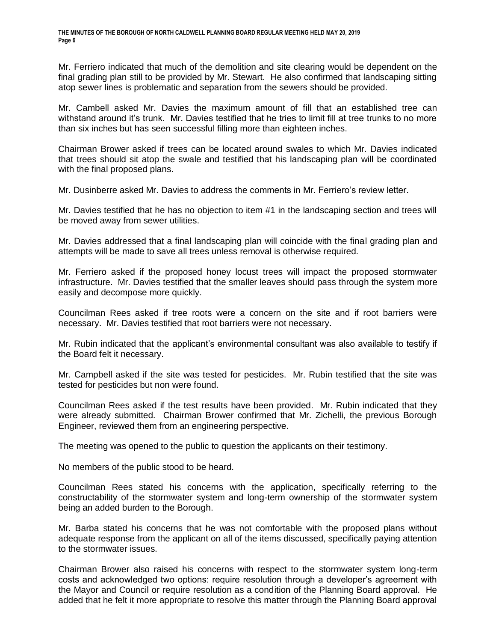Mr. Ferriero indicated that much of the demolition and site clearing would be dependent on the final grading plan still to be provided by Mr. Stewart. He also confirmed that landscaping sitting atop sewer lines is problematic and separation from the sewers should be provided.

Mr. Cambell asked Mr. Davies the maximum amount of fill that an established tree can withstand around it's trunk. Mr. Davies testified that he tries to limit fill at tree trunks to no more than six inches but has seen successful filling more than eighteen inches.

Chairman Brower asked if trees can be located around swales to which Mr. Davies indicated that trees should sit atop the swale and testified that his landscaping plan will be coordinated with the final proposed plans.

Mr. Dusinberre asked Mr. Davies to address the comments in Mr. Ferriero's review letter.

Mr. Davies testified that he has no objection to item #1 in the landscaping section and trees will be moved away from sewer utilities.

Mr. Davies addressed that a final landscaping plan will coincide with the final grading plan and attempts will be made to save all trees unless removal is otherwise required.

Mr. Ferriero asked if the proposed honey locust trees will impact the proposed stormwater infrastructure. Mr. Davies testified that the smaller leaves should pass through the system more easily and decompose more quickly.

Councilman Rees asked if tree roots were a concern on the site and if root barriers were necessary. Mr. Davies testified that root barriers were not necessary.

Mr. Rubin indicated that the applicant's environmental consultant was also available to testify if the Board felt it necessary.

Mr. Campbell asked if the site was tested for pesticides. Mr. Rubin testified that the site was tested for pesticides but non were found.

Councilman Rees asked if the test results have been provided. Mr. Rubin indicated that they were already submitted. Chairman Brower confirmed that Mr. Zichelli, the previous Borough Engineer, reviewed them from an engineering perspective.

The meeting was opened to the public to question the applicants on their testimony.

No members of the public stood to be heard.

Councilman Rees stated his concerns with the application, specifically referring to the constructability of the stormwater system and long-term ownership of the stormwater system being an added burden to the Borough.

Mr. Barba stated his concerns that he was not comfortable with the proposed plans without adequate response from the applicant on all of the items discussed, specifically paying attention to the stormwater issues.

Chairman Brower also raised his concerns with respect to the stormwater system long-term costs and acknowledged two options: require resolution through a developer's agreement with the Mayor and Council or require resolution as a condition of the Planning Board approval. He added that he felt it more appropriate to resolve this matter through the Planning Board approval